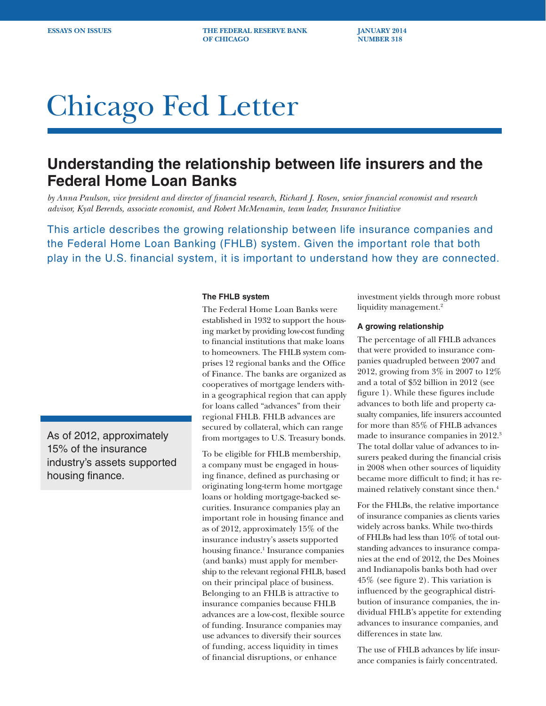**ESSAYS ON ISSUES THE FEDERAL RESERVE BANK JANUARY 2014 OF CHICAGO NUMBER 318** 

# Chicago Fed Letter

## **Understanding the relationship between life insurers and the Federal Home Loan Banks**

*by Anna Paulson, vice president and director of financial research, Richard J. Rosen, senior financial economist and research advisor, Kyal Berends, associate economist, and Robert McMenamin, team leader, Insurance Initiative* 

This article describes the growing relationship between life insurance companies and the Federal Home Loan Banking (FHLB) system. Given the important role that both play in the U.S. financial system, it is important to understand how they are connected.

#### **The FHLB system**

The Federal Home Loan Banks were established in 1932 to support the housing market by providing low-cost funding to financial institutions that make loans to homeowners. The FHLB system comprises 12 regional banks and the Office of Finance. The banks are organized as cooperatives of mortgage lenders within a geographical region that can apply for loans called "advances" from their regional FHLB. FHLB advances are secured by collateral, which can range from mortgages to U.S. Treasury bonds.

To be eligible for FHLB membership, a company must be engaged in housing finance, defined as purchasing or originating long-term home mortgage loans or holding mortgage-backed securities. Insurance companies play an important role in housing finance and as of 2012, approximately 15% of the insurance industry's assets supported housing finance.<sup>1</sup> Insurance companies (and banks) must apply for membership to the relevant regional FHLB, based on their principal place of business. Belonging to an FHLB is attractive to insurance companies because FHLB advances are a low-cost, flexible source of funding. Insurance companies may use advances to diversify their sources of funding, access liquidity in times of financial disruptions, or enhance

investment yields through more robust liquidity management.<sup>2</sup>

#### **A growing relationship**

The percentage of all FHLB advances that were provided to insurance companies quadrupled between 2007 and 2012, growing from 3% in 2007 to 12% and a total of \$52 billion in 2012 (see figure 1). While these figures include advances to both life and property casualty companies, life insurers accounted for more than 85% of FHLB advances made to insurance companies in 2012.3 The total dollar value of advances to insurers peaked during the financial crisis in 2008 when other sources of liquidity became more difficult to find; it has remained relatively constant since then.4

For the FHLBs, the relative importance of insurance companies as clients varies widely across banks. While two-thirds of FHLBs had less than 10% of total outstanding advances to insurance companies at the end of 2012, the Des Moines and Indianapolis banks both had over 45% (see figure 2). This variation is influenced by the geographical distribution of insurance companies, the individual FHLB's appetite for extending advances to insurance companies, and differences in state law.

The use of FHLB advances by life insurance companies is fairly concentrated.

As of 2012, approximately 15% of the insurance industry's assets supported housing finance.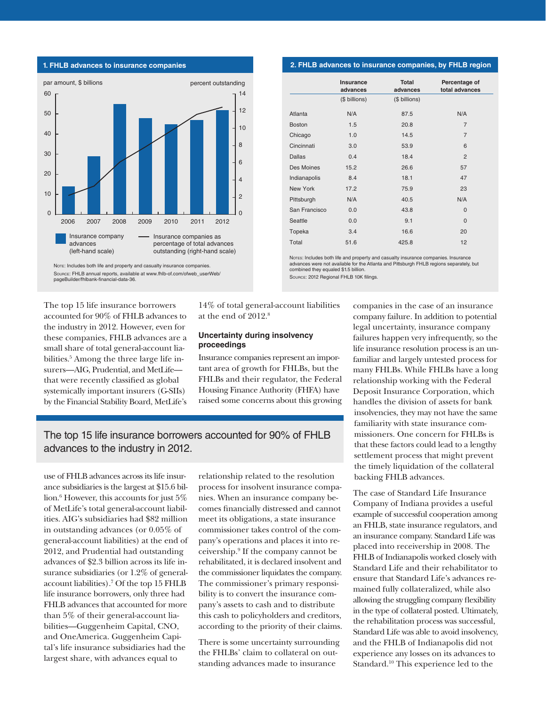

**1. FHLB advances to insurance companies**

Note: Includes both life and property and casualty insurance companies. Source: FHLB annual reports, available at www.fhlb-of.com/ofweb\_userWeb/ pageBuilder/fhlbank-financial-data-36.

The top 15 life insurance borrowers accounted for 90% of FHLB advances to the industry in 2012. However, even for these companies, FHLB advances are a small share of total general-account liabilities.5 Among the three large life insurers—AIG, Prudential, and MetLife that were recently classified as global systemically important insurers (G-SIIs) by the Financial Stability Board, MetLife's 14% of total general-account liabilities at the end of 2012.8

#### **Uncertainty during insolvency proceedings**

Insurance companies represent an important area of growth for FHLBs, but the FHLBs and their regulator, the Federal Housing Finance Authority (FHFA) have raised some concerns about this growing

### The top 15 life insurance borrowers accounted for 90% of FHLB advances to the industry in 2012.

use of FHLB advances across its life insurance subsidiaries is the largest at \$15.6 billion.6 However, this accounts for just 5% of MetLife's total general-account liabilities. AIG's subsidiaries had \$82 million in outstanding advances (or 0.05% of general-account liabilities) at the end of 2012, and Prudential had outstanding advances of \$2.3 billion across its life insurance subsidiaries (or 1.2% of generalaccount liabilities).7 Of the top 15 FHLB life insurance borrowers, only three had FHLB advances that accounted for more than 5% of their general-account liabilities—Guggenheim Capital, CNO, and OneAmerica. Guggenheim Capital's life insurance subsidiaries had the largest share, with advances equal to

relationship related to the resolution process for insolvent insurance companies. When an insurance company becomes financially distressed and cannot meet its obligations, a state insurance commissioner takes control of the company's operations and places it into receivership.9 If the company cannot be rehabilitated, it is declared insolvent and the commissioner liquidates the company. The commissioner's primary responsibility is to convert the insurance company's assets to cash and to distribute this cash to policyholders and creditors, according to the priority of their claims.

There is some uncertainty surrounding the FHLBs' claim to collateral on outstanding advances made to insurance

#### **2. FHLB advances to insurance companies, by FHLB region**

|               | Insurance<br>advances | <b>Total</b><br>advances | Percentage of<br>total advances |
|---------------|-----------------------|--------------------------|---------------------------------|
|               | (\$ billions)         | (\$ billions)            |                                 |
| Atlanta       | N/A                   | 87.5                     | N/A                             |
| <b>Boston</b> | 1.5                   | 20.8                     | 7                               |
| Chicago       | 1.0                   | 14.5                     | 7                               |
| Cincinnati    | 3.0                   | 53.9                     | 6                               |
| <b>Dallas</b> | 0.4                   | 18.4                     | $\overline{2}$                  |
| Des Moines    | 15.2                  | 26.6                     | 57                              |
| Indianapolis  | 8.4                   | 18.1                     | 47                              |
| New York      | 17.2                  | 75.9                     | 23                              |
| Pittsburgh    | N/A                   | 40.5                     | N/A                             |
| San Francisco | 0.0                   | 43.8                     | 0                               |
| Seattle       | 0.0                   | 9.1                      | $\overline{0}$                  |
| Topeka        | 3.4                   | 16.6                     | 20                              |
| Total         | 51.6                  | 425.8                    | 12                              |

Notes: Includes both life and property and casualty insurance companies. Insurance advances were not available for the Atlanta and Pittsburgh FHLB regions separately, but combined they equaled \$1.5 billion. Source: 2012 Regional FHLB 10K filings.

> companies in the case of an insurance company failure. In addition to potential legal uncertainty, insurance company failures happen very infrequently, so the life insurance resolution process is an unfamiliar and largely untested process for many FHLBs. While FHLBs have a long relationship working with the Federal Deposit Insurance Corporation, which handles the division of assets for bank insolvencies, they may not have the same familiarity with state insurance commissioners. One concern for FHLBs is that these factors could lead to a lengthy settlement process that might prevent the timely liquidation of the collateral backing FHLB advances.

> The case of Standard Life Insurance Company of Indiana provides a useful example of successful cooperation among an FHLB, state insurance regulators, and an insurance company. Standard Life was placed into receivership in 2008. The FHLB of Indianapolis worked closely with Standard Life and their rehabilitator to ensure that Standard Life's advances remained fully collateralized, while also allowing the struggling company flexibility in the type of collateral posted. Ultimately, the rehabilitation process was successful, Standard Life was able to avoid insolvency, and the FHLB of Indianapolis did not experience any losses on its advances to Standard.<sup>10</sup> This experience led to the